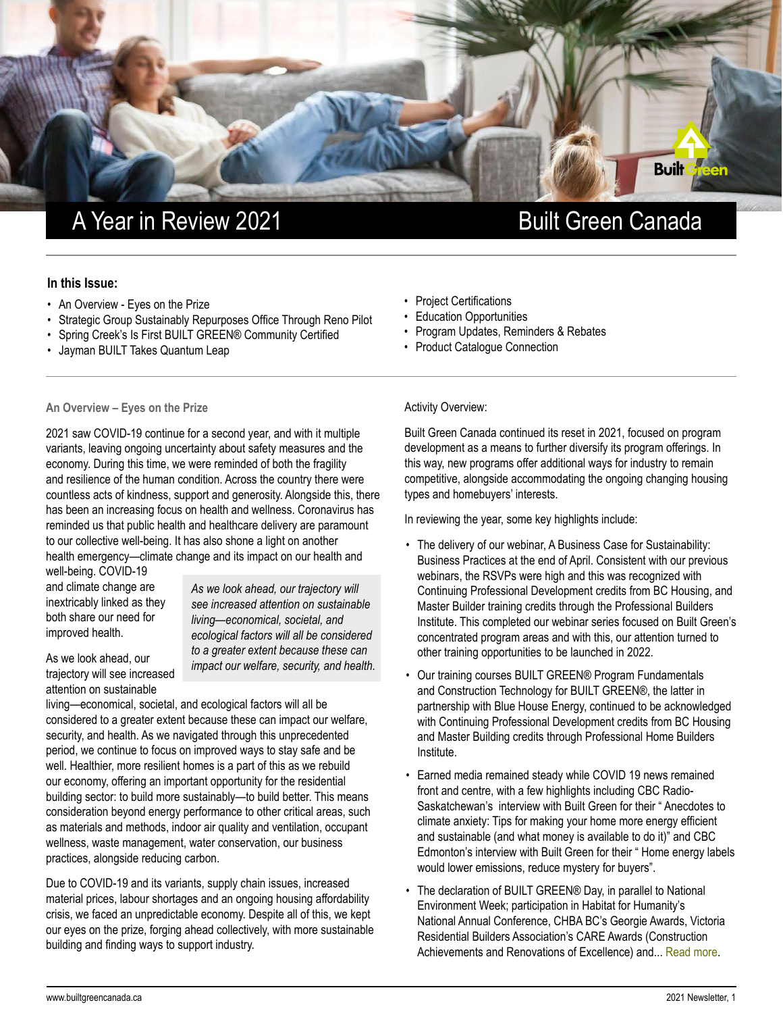

# A Year in Review 2021 **Built Green Canada**

## **In this Issue:**

- An Overview Eyes on the Prize
- Strategic Group Sustainably Repurposes Office Through Reno Pilot
- Spring Creek's Is First BUILT GREEN® Community Certified
- Jayman BUILT Takes Quantum Leap

## **An Overview – Eyes on the Prize**

2021 saw COVID-19 continue for a second year, and with it multiple variants, leaving ongoing uncertainty about safety measures and the economy. During this time, we were reminded of both the fragility and resilience of the human condition. Across the country there were countless acts of kindness, support and generosity. Alongside this, there has been an increasing focus on health and wellness. Coronavirus has reminded us that public health and healthcare delivery are paramount to our collective well-being. It has also shone a light on another health emergency—climate change and its impact on our health and

well-being. COVID-19 and climate change are inextricably linked as they both share our need for improved health.

As we look ahead, our trajectory will see increased attention on sustainable

*As we look ahead, our trajectory will see increased attention on sustainable living—economical, societal, and ecological factors will all be considered to a greater extent because these can impact our welfare, security, and health.*

living—economical, societal, and ecological factors will all be considered to a greater extent because these can impact our welfare, security, and health. As we navigated through this unprecedented period, we continue to focus on improved ways to stay safe and be well. Healthier, more resilient homes is a part of this as we rebuild our economy, offering an important opportunity for the residential building sector: to build more sustainably—to build better. This means consideration beyond energy performance to other critical areas, such as materials and methods, indoor air quality and ventilation, occupant wellness, waste management, water conservation, our business practices, alongside reducing carbon.

Due to COVID-19 and its variants, supply chain issues, increased material prices, labour shortages and an ongoing housing affordability crisis, we faced an unpredictable economy. Despite all of this, we kept our eyes on the prize, forging ahead collectively, with more sustainable building and finding ways to support industry.

- Project Certifications
- Education Opportunities
- Program Updates, Reminders & Rebates
- Product Catalogue Connection

Activity Overview:

Built Green Canada continued its reset in 2021, focused on program development as a means to further diversify its program offerings. In this way, new programs offer additional ways for industry to remain competitive, alongside accommodating the ongoing changing housing types and homebuyers' interests.

In reviewing the year, some key highlights include:

- The delivery of our webinar, A Business Case for Sustainability: Business Practices at the end of April. Consistent with our previous webinars, the RSVPs were high and this was recognized with Continuing Professional Development credits from BC Housing, and Master Builder training credits through the Professional Builders Institute. This completed our webinar series focused on Built Green's concentrated program areas and with this, our attention turned to other training opportunities to be launched in 2022.
- Our training courses BUILT GREEN® Program Fundamentals and Construction Technology for BUILT GREEN®, the latter in partnership with Blue House Energy, continued to be acknowledged with Continuing Professional Development credits from BC Housing and Master Building credits through Professional Home Builders Institute.
- Earned media remained steady while COVID 19 news remained front and centre, with a few highlights including CBC Radio-Saskatchewan's interview with Built Green for their " Anecdotes to climate anxiety: Tips for making your home more energy efficient and sustainable (and what money is available to do it)" and CBC Edmonton's interview with Built Green for their " Home energy labels would lower emissions, reduce mystery for buyers".
- The declaration of BUILT GREEN® Day, in parallel to National Environment Week; participation in Habitat for Humanity's National Annual Conference, CHBA BC's Georgie Awards, Victoria Residential Builders Association's CARE Awards (Construction Achievements and Renovations of Excellence) and... [Read more](https://builtgreencanada.ca/a-year-in-review-an-eye-on-the-prize).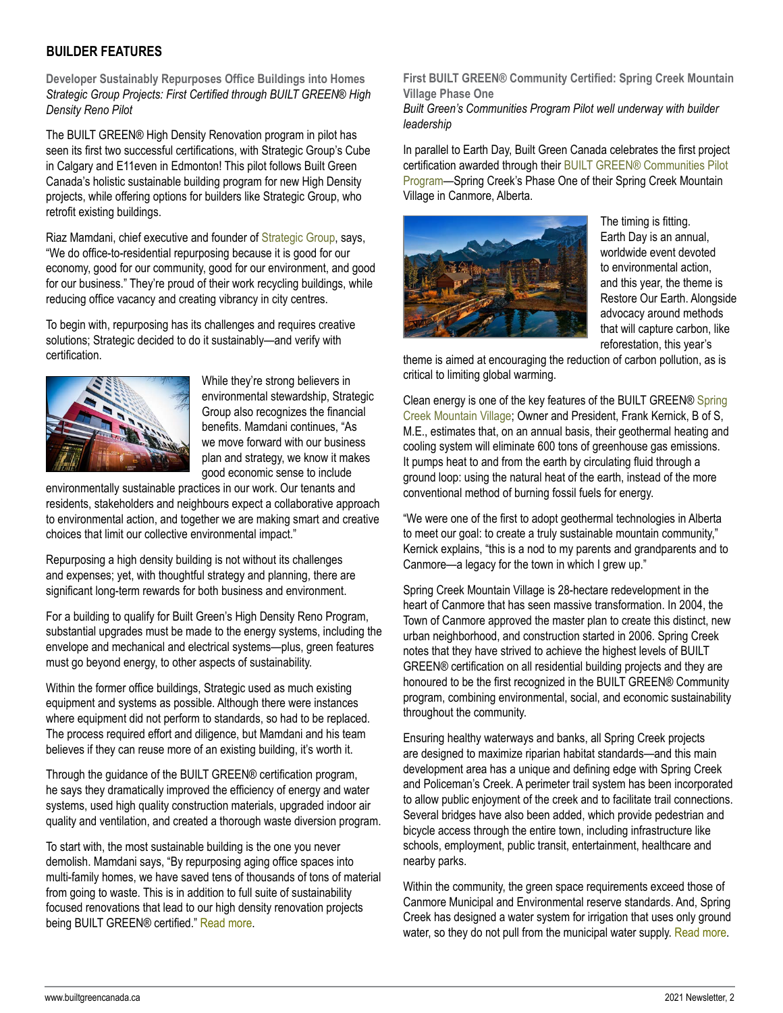## **BUILDER FEATURES**

**Developer Sustainably Repurposes Office Buildings into Homes** *Strategic Group Projects: First Certified through BUILT GREEN® High Density Reno Pilot*

The BUILT GREEN® High Density Renovation program in pilot has seen its first two successful certifications, with Strategic Group's Cube in Calgary and E11even in Edmonton! This pilot follows Built Green Canada's holistic sustainable building program for new High Density projects, while offering options for builders like Strategic Group, who retrofit existing buildings.

Riaz Mamdani, chief executive and founder of [Strategic Group](https://www.strategicgroup.ca/), says, "We do office-to-residential repurposing because it is good for our economy, good for our community, good for our environment, and good for our business." They're proud of their work recycling buildings, while reducing office vacancy and creating vibrancy in city centres.

To begin with, repurposing has its challenges and requires creative solutions; Strategic decided to do it sustainably—and verify with certification.



While they're strong believers in environmental stewardship, Strategic Group also recognizes the financial benefits. Mamdani continues, "As we move forward with our business plan and strategy, we know it makes good economic sense to include

environmentally sustainable practices in our work. Our tenants and residents, stakeholders and neighbours expect a collaborative approach to environmental action, and together we are making smart and creative choices that limit our collective environmental impact."

Repurposing a high density building is not without its challenges and expenses; yet, with thoughtful strategy and planning, there are significant long-term rewards for both business and environment.

For a building to qualify for Built Green's High Density Reno Program, substantial upgrades must be made to the energy systems, including the envelope and mechanical and electrical systems—plus, green features must go beyond energy, to other aspects of sustainability.

Within the former office buildings, Strategic used as much existing equipment and systems as possible. Although there were instances where equipment did not perform to standards, so had to be replaced. The process required effort and diligence, but Mamdani and his team believes if they can reuse more of an existing building, it's worth it.

Through the guidance of the BUILT GREEN® certification program, he says they dramatically improved the efficiency of energy and water systems, used high quality construction materials, upgraded indoor air quality and ventilation, and created a thorough waste diversion program.

To start with, the most sustainable building is the one you never demolish. Mamdani says, "By repurposing aging office spaces into multi-family homes, we have saved tens of thousands of tons of material from going to waste. This is in addition to full suite of sustainability focused renovations that lead to our high density renovation projects being BUILT GREEN® certified." [Read more](https://builtgreencanada.ca/developer-sustainably-repurposes-office-buildings-into-homes).

**First BUILT GREEN® Community Certified: Spring Creek Mountain Village Phase One** 

*Built Green's Communities Program Pilot well underway with builder leadership*

In parallel to Earth Day, Built Green Canada celebrates the first project certification awarded through their [BUILT GREEN® Communities Pilot](https://builtgreencanada.ca/communities)  [Program—](https://builtgreencanada.ca/communities)Spring Creek's Phase One of their Spring Creek Mountain Village in Canmore, Alberta.



The timing is fitting. Earth Day is an annual, worldwide event devoted to environmental action, and this year, the theme is Restore Our Earth. Alongside advocacy around methods that will capture carbon, like reforestation, this year's

theme is aimed at encouraging the reduction of carbon pollution, as is critical to limiting global warming.

Clean energy is one of the key features of the BUILT GREEN® [Spring](https://www.springcreekcanmore.ca/)  [Creek Mountain Village](https://www.springcreekcanmore.ca/); Owner and President, Frank Kernick, B of S, M.E., estimates that, on an annual basis, their geothermal heating and cooling system will eliminate 600 tons of greenhouse gas emissions. It pumps heat to and from the earth by circulating fluid through a ground loop: using the natural heat of the earth, instead of the more conventional method of burning fossil fuels for energy.

"We were one of the first to adopt geothermal technologies in Alberta to meet our goal: to create a truly sustainable mountain community," Kernick explains, "this is a nod to my parents and grandparents and to Canmore—a legacy for the town in which I grew up."

Spring Creek Mountain Village is 28-hectare redevelopment in the heart of Canmore that has seen massive transformation. In 2004, the Town of Canmore approved the master plan to create this distinct, new urban neighborhood, and construction started in 2006. Spring Creek notes that they have strived to achieve the highest levels of BUILT GREEN® certification on all residential building projects and they are honoured to be the first recognized in the BUILT GREEN® Community program, combining environmental, social, and economic sustainability throughout the community.

Ensuring healthy waterways and banks, all Spring Creek projects are designed to maximize riparian habitat standards—and this main development area has a unique and defining edge with Spring Creek and Policeman's Creek. A perimeter trail system has been incorporated to allow public enjoyment of the creek and to facilitate trail connections. Several bridges have also been added, which provide pedestrian and bicycle access through the entire town, including infrastructure like schools, employment, public transit, entertainment, healthcare and nearby parks.

Within the community, the green space requirements exceed those of Canmore Municipal and Environmental reserve standards. And, Spring Creek has designed a water system for irrigation that uses only ground water, so they do not pull from the municipal water supply. [Read more](https://builtgreencanada.ca/spring-creek-mountain-village-phase-one-receives-first-community-certification).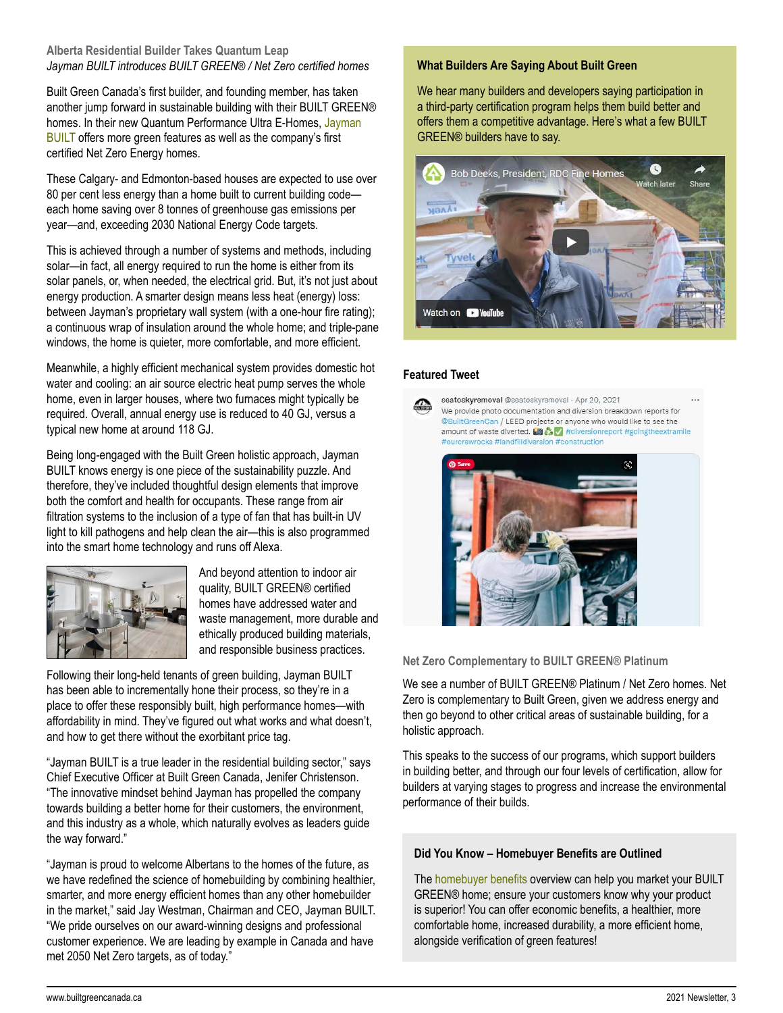## **Alberta Residential Builder Takes Quantum Leap** *Jayman BUILT introduces BUILT GREEN® / Net Zero certified homes*

Built Green Canada's first builder, and founding member, has taken another jump forward in sustainable building with their BUILT GREEN® homes. In their new Quantum Performance Ultra E-Homes, Jayman **[BUILT](https://www.jayman.com/)** offers more green features as well as the company's first certified Net Zero Energy homes.

These Calgary- and Edmonton-based houses are expected to use over 80 per cent less energy than a home built to current building code each home saving over 8 tonnes of greenhouse gas emissions per year—and, exceeding 2030 National Energy Code targets.

This is achieved through a number of systems and methods, including solar—in fact, all energy required to run the home is either from its solar panels, or, when needed, the electrical grid. But, it's not just about energy production. A smarter design means less heat (energy) loss: between Jayman's proprietary wall system (with a one-hour fire rating); a continuous wrap of insulation around the whole home; and triple-pane windows, the home is quieter, more comfortable, and more efficient.

Meanwhile, a highly efficient mechanical system provides domestic hot water and cooling: an air source electric heat pump serves the whole home, even in larger houses, where two furnaces might typically be required. Overall, annual energy use is reduced to 40 GJ, versus a typical new home at around 118 GJ.

Being long-engaged with the Built Green holistic approach, Jayman BUILT knows energy is one piece of the sustainability puzzle. And therefore, they've included thoughtful design elements that improve both the comfort and health for occupants. These range from air filtration systems to the inclusion of a type of fan that has built-in UV light to kill pathogens and help clean the air—this is also programmed into the smart home technology and runs off Alexa.



And beyond attention to indoor air quality, BUILT GREEN® certified homes have addressed water and waste management, more durable and ethically produced building materials, and responsible business practices.

Following their long-held tenants of green building, Jayman BUILT has been able to incrementally hone their process, so they're in a place to offer these responsibly built, high performance homes—with affordability in mind. They've figured out what works and what doesn't, and how to get there without the exorbitant price tag.

"Jayman BUILT is a true leader in the residential building sector," says Chief Executive Officer at Built Green Canada, Jenifer Christenson. "The innovative mindset behind Jayman has propelled the company towards building a better home for their customers, the environment, and this industry as a whole, which naturally evolves as leaders guide the way forward."

"Jayman is proud to welcome Albertans to the homes of the future, as we have redefined the science of homebuilding by combining healthier, smarter, and more energy efficient homes than any other homebuilder in the market," said Jay Westman, Chairman and CEO, Jayman BUILT. "We pride ourselves on our award-winning designs and professional customer experience. We are leading by example in Canada and have met 2050 Net Zero targets, as of today."

## **What Builders Are Saying About Built Green**

We hear many builders and developers saying participation in a third-party certification program helps them build better and offers them a competitive advantage. Here's what a few BUILT GREEN® builders have to say.



## **Featured Tweet**



seatoskyremoval @seatoskyremoval · Apr 20, 2021 We provide photo documentation and diversion breakdown reports for @BuiltGreenCan / LEED projects or anyone who would like to see the amount of waste diverted. [5]  $\frac{1}{2}$  #diversionreport #goingtheextramile #ourcrewrocks #landfilldiversion #construction



**Net Zero Complementary to BUILT GREEN® Platinum**

We see a number of BUILT GREEN® Platinum / Net Zero homes. Net Zero is complementary to Built Green, given we address energy and then go beyond to other critical areas of sustainable building, for a holistic approach.

This speaks to the success of our programs, which support builders in building better, and through our four levels of certification, allow for builders at varying stages to progress and increase the environmental performance of their builds.

## **Did You Know – Homebuyer Benefits are Outlined**

The [homebuyer benefits](https://builtgreencanada.ca/homeowner-benefits) overview can help you market your BUILT GREEN® home; ensure your customers know why your product is superior! You can offer economic benefits, a healthier, more comfortable home, increased durability, a more efficient home, alongside verification of green features!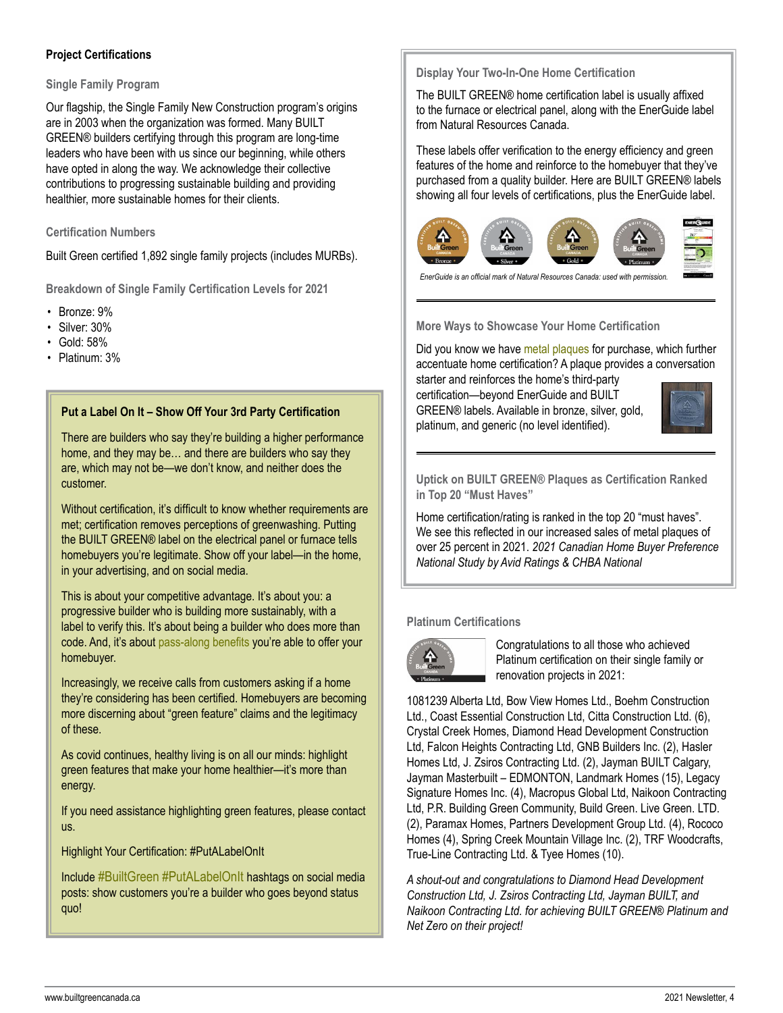## **Project Certifications**

### **Single Family Program**

Our flagship, the Single Family New Construction program's origins are in 2003 when the organization was formed. Many BUILT GREEN® builders certifying through this program are long-time leaders who have been with us since our beginning, while others have opted in along the way. We acknowledge their collective contributions to progressing sustainable building and providing healthier, more sustainable homes for their clients.

## **Certification Numbers**

Built Green certified 1,892 single family projects (includes MURBs).

**Breakdown of Single Family Certification Levels for 2021**

- Bronze: 9%
- Silver: 30%
- Gold: 58%
- Platinum: 3%

## **Put a Label On It – Show Off Your 3rd Party Certification**

There are builders who say they're building a higher performance home, and they may be… and there are builders who say they are, which may not be—we don't know, and neither does the customer.

Without certification, it's difficult to know whether requirements are met; certification removes perceptions of greenwashing. Putting the BUILT GREEN® label on the electrical panel or furnace tells homebuyers you're legitimate. Show off your label—in the home, in your advertising, and on social media.

This is about your competitive advantage. It's about you: a progressive builder who is building more sustainably, with a label to verify this. It's about being a builder who does more than code. And, it's about [pass-along benefits](https://builtgreencanada.ca/homeowner-benefits) you're able to offer your homebuyer.

Increasingly, we receive calls from customers asking if a home they're considering has been certified. Homebuyers are becoming more discerning about "green feature" claims and the legitimacy of these.

As covid continues, healthy living is on all our minds: highlight green features that make your home healthier—it's more than energy.

If you need assistance highlighting green features, please contact us.

Highlight Your Certification: #PutALabelOnIt

Include #BuiltGreen #PutALabelOnIt hashtags on social media posts: show customers you're a builder who goes beyond status quo!

**Display Your Two-In-One Home Certification**

The BUILT GREEN® home certification label is usually affixed to the furnace or electrical panel, along with the EnerGuide label from Natural Resources Canada.

These labels offer verification to the energy efficiency and green features of the home and reinforce to the homebuyer that they've purchased from a quality builder. Here are BUILT GREEN® labels showing all four levels of certifications, plus the EnerGuide label.



*EnerGuide is an official mark of Natural Resources Canada: used with permission.*

**More Ways to Showcase Your Home Certification** 

Did you know we have [metal plaques](https://builtgreencanada.ca/built-green-metal-plaques) for purchase, which further accentuate home certification? A plaque provides a conversation

starter and reinforces the home's third-party certification—beyond EnerGuide and BUILT GREEN® labels. Available in bronze, silver, gold, platinum, and generic (no level identified).



**Uptick on BUILT GREEN® Plaques as Certification Ranked in Top 20 "Must Haves"**

Home certification/rating is ranked in the top 20 "must haves". We see this reflected in our increased sales of metal plaques of over 25 percent in 2021. *2021 Canadian Home Buyer Preference National Study by Avid Ratings & CHBA National*

## **Platinum Certifications**



Congratulations to all those who achieved Platinum certification on their single family or renovation projects in 2021:

1081239 Alberta Ltd, Bow View Homes Ltd., Boehm Construction Ltd., Coast Essential Construction Ltd, Citta Construction Ltd. (6), Crystal Creek Homes, Diamond Head Development Construction Ltd, Falcon Heights Contracting Ltd, GNB Builders Inc. (2), Hasler Homes Ltd, J. Zsiros Contracting Ltd. (2), Jayman BUILT Calgary, Jayman Masterbuilt – EDMONTON, Landmark Homes (15), Legacy Signature Homes Inc. (4), Macropus Global Ltd, Naikoon Contracting Ltd, P.R. Building Green Community, Build Green. Live Green. LTD. (2), Paramax Homes, Partners Development Group Ltd. (4), Rococo Homes (4), Spring Creek Mountain Village Inc. (2), TRF Woodcrafts, True-Line Contracting Ltd. & Tyee Homes (10).

*A shout-out and congratulations to Diamond Head Development Construction Ltd, J. Zsiros Contracting Ltd, Jayman BUILT, and Naikoon Contracting Ltd. for achieving BUILT GREEN® Platinum and Net Zero on their project!*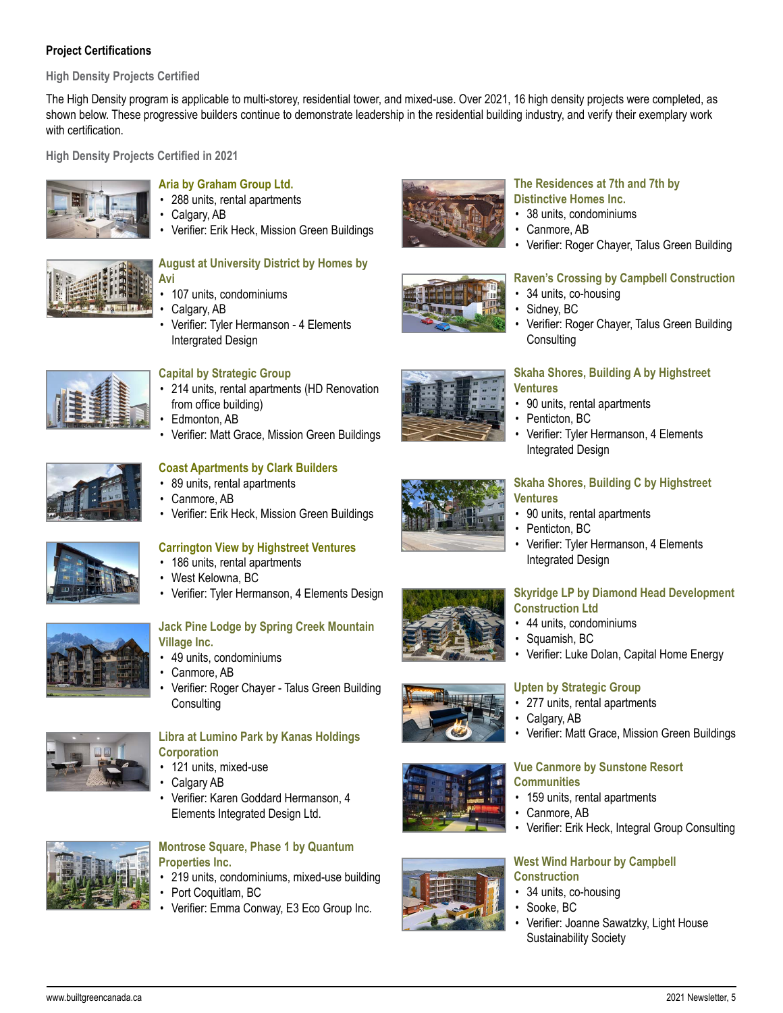## **Project Certifications**

**High Density Projects Certified**

The High Density program is applicable to multi-storey, residential tower, and mixed-use. Over 2021, 16 high density projects were completed, as shown below. These progressive builders continue to demonstrate leadership in the residential building industry, and verify their exemplary work with certification

**High Density Projects Certified in 2021**



## **[Aria by Graham Group Ltd.](https://ariacalgary.ca/)**

- 288 units, rental apartments
- Calgary, AB
- Verifier: Erik Heck, Mission Green Buildings

#### **[August at University District by Homes by](https://www.homesbyavi.com/calgary/search-by-community/calgary-ne/savanna/to-be-built-details/au-unit-a1.1-august-university-distrcit)  [Avi](https://www.homesbyavi.com/calgary/search-by-community/calgary-ne/savanna/to-be-built-details/au-unit-a1.1-august-university-distrcit)**

- 107 units, condominiums
- Calgary, AB
- Verifier: Tyler Hermanson 4 Elements Intergrated Design



## **[Capital by Strategic Group](https://www.strategicgroup.ca/residential/capital/)**

- 214 units, rental apartments (HD Renovation from office building)
- Edmonton, AB
- Verifier: Matt Grace, Mission Green Buildings

## **[Coast Apartments by Clark Builders](https://www.clarkbuilders.com/project/type/multi-unit-residential/)**

- 89 units, rental apartments
- Canmore, AB
- Verifier: Erik Heck, Mission Green Buildings



## **[Carrington View by Highstreet Ventures](https://highstreetventures.ca/)**

- 186 units, rental apartments
- West Kelowna, BC
- Verifier: Tyler Hermanson, 4 Elements Design

## **[Jack Pine Lodge by Spring Creek Mountain](https://www.springcreekrealestate.ca/project/jack-pine-lodge/)  [Village Inc.](https://www.springcreekrealestate.ca/project/jack-pine-lodge/)**

- 49 units, condominiums
- Canmore, AB
- Verifier: Roger Chayer Talus Green Building **Consulting**



## **[Libra at Lumino Park by Kanas Holdings](https://www.vivendagroup.ca/libra)  [Corporation](https://www.vivendagroup.ca/libra)**

- 121 units, mixed-use
- Calgary AB
- Verifier: Karen Goddard Hermanson, 4 Elements Integrated Design Ltd.



## **[Montrose Square, Phase 1 by Quantum](https://montrosesquare.com/)  [Properties Inc.](https://montrosesquare.com/)**

- 219 units, condominiums, mixed-use building
- Port Coquitlam, BC
- Verifier: Emma Conway, E3 Eco Group Inc.



## **[The Residences at 7th and 7th by](https://distinctivehomescanmore.com/seventh-and-seventh/)  [Distinctive Homes Inc.](https://distinctivehomescanmore.com/seventh-and-seventh/)**

• 38 units, condominiums

34 units, co-housing

Canmore, AB

Sidney, BC

**Consulting** 

• Penticton, BC

Integrated Design

• Verifier: Roger Chayer, Talus Green Building

• Verifier: Roger Chayer, Talus Green Building









- 90 units, rental apartments
- Penticton, BC
- Verifier: Tyler Hermanson, 4 Elements Integrated Design

#### **[Skyridge LP by Diamond Head Development](http://skyridgesquamish.com/)  [Construction Ltd](http://skyridgesquamish.com/)**

- 44 units, condominiums
- Squamish, BC
- Verifier: Luke Dolan, Capital Home Energy

## **[Upten by Strategic Group](https://www.liveupten.com/)**

- 277 units, rental apartments
- Calgary, AB
- Verifier: Matt Grace, Mission Green Buildings

## **[Vue Canmore by Sunstone Resort](https://www.vuecanmore.com/)  [Communities](https://www.vuecanmore.com/)**

- 159 units, rental apartments
- Canmore, AB
- Verifier: Erik Heck, Integral Group Consulting

## **[West Wind Harbour by Campbell](https://www.westwindharbour.ca/)  [Construction](https://www.westwindharbour.ca/)**

- 34 units, co-housing
- Sooke, BC
- Verifier: Joanne Sawatzky, Light House Sustainability Society



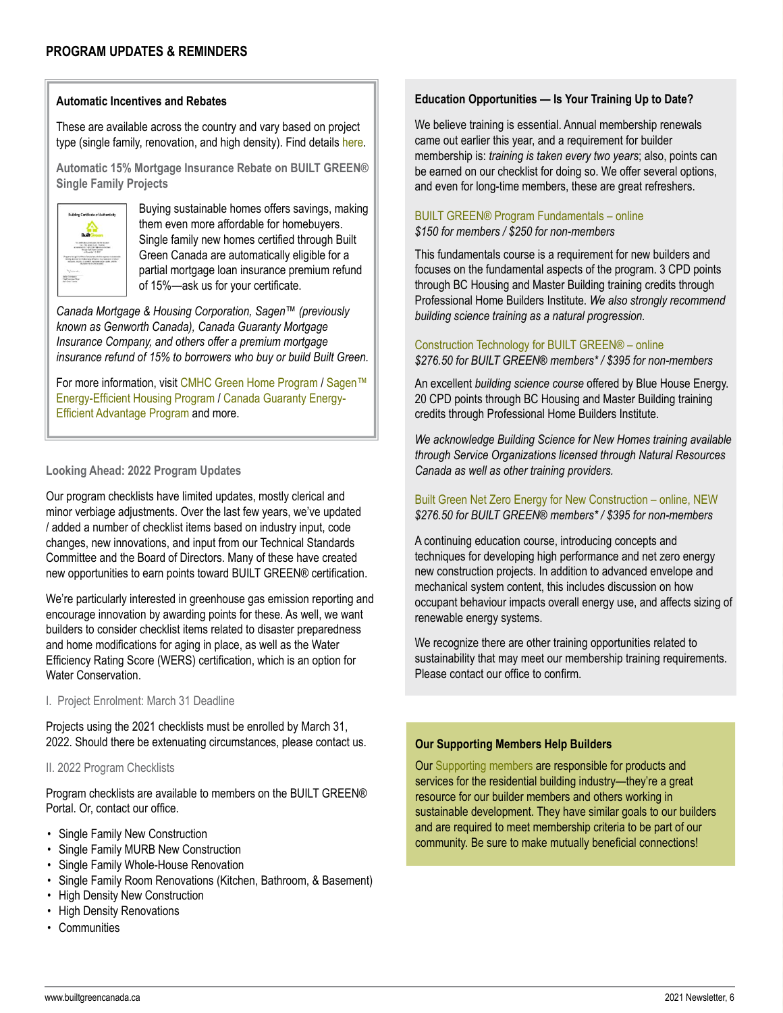## **Automatic Incentives and Rebates**

These are available across the country and vary based on project type (single family, renovation, and high density). Find details [here](https://www.nrcan.gc.ca/energy-efficiency/energy-efficiency-homes/financial-incentive-province/4947).

**Automatic 15% Mortgage Insurance Rebate on BUILT GREEN® Single Family Projects**



Buying sustainable homes offers savings, making them even more affordable for homebuyers. Single family new homes certified through Built Green Canada are automatically eligible for a partial mortgage loan insurance premium refund of 15%—ask us for your certificate.

*Canada Mortgage & Housing Corporation, Sagen™ (previously known as Genworth Canada), Canada Guaranty Mortgage Insurance Company, and others offer a premium mortgage insurance refund of 15% to borrowers who buy or build Built Green.*

For more information, visit [CMHC Green Home Program](https://www.cmhc-schl.gc.ca/en/finance-and-investing/mortgage-loan-insurance/mortgage-loan-insurance-homeownership-programs/energy-efficient-housing-made-more-affordable-with-mortgage-loan-insurance) / Sagen™ [Energy-Efficient Housing Program](https://www.sagen.ca/products-and-services/energy-efficient-housing/) / Canada Guaranty [Energy-](https://www.canadaguaranty.ca/energy-efficient-advantage-program/)[Efficient Advantage Program](https://www.canadaguaranty.ca/energy-efficient-advantage-program/) and more.

## **Looking Ahead: 2022 Program Updates**

Our program checklists have limited updates, mostly clerical and minor verbiage adjustments. Over the last few years, we've updated / added a number of checklist items based on industry input, code changes, new innovations, and input from our Technical Standards Committee and the Board of Directors. Many of these have created new opportunities to earn points toward BUILT GREEN® certification.

We're particularly interested in greenhouse gas emission reporting and encourage innovation by awarding points for these. As well, we want builders to consider checklist items related to disaster preparedness and home modifications for aging in place, as well as the Water Efficiency Rating Score (WERS) certification, which is an option for Water Conservation.

#### I. Project Enrolment: March 31 Deadline

Projects using the 2021 checklists must be enrolled by March 31, 2022. Should there be extenuating circumstances, please contact us.

## II. 2022 Program Checklists

Program checklists are available to members on the BUILT GREEN® Portal. Or, contact our office.

- Single Family New Construction
- Single Family MURB New Construction
- Single Family Whole-House Renovation
- Single Family Room Renovations (Kitchen, Bathroom, & Basement)
- High Density New Construction
- High Density Renovations
- Communities

## **Education Opportunities — Is Your Training Up to Date?**

We believe training is essential. Annual membership renewals came out earlier this year, and a requirement for builder membership is: *training is taken every two years*; also, points can be earned on our checklist for doing so. We offer several options, and even for long-time members, these are great refreshers.

## [BUILT GREEN® Program Fundamentals](https://www.builtgreencanada.ca/built-green-program-fundamentals-registration) – online *\$150 for members / \$250 for non-members*

This fundamentals course is a requirement for new builders and focuses on the fundamental aspects of the program. 3 CPD points through BC Housing and Master Building training credits through Professional Home Builders Institute. *We also strongly recommend building science training as a natural progression.*

## [Construction Technology for BUILT GREEN®](https://ca.bluehouseenergy.com/products/construction-technology-for-built-green-members) – online *\$276.50 for BUILT GREEN® members\* / \$395 for non-members*

An excellent *building science course* offered by Blue House Energy. 20 CPD points through BC Housing and Master Building training credits through Professional Home Builders Institute.

*We acknowledge Building Science for New Homes training available through Service Organizations licensed through Natural Resources Canada as well as other training providers.*

[Built Green Net Zero Energy for New Construction – online, NEW](https://www.builtgreencanada.ca/training) *\$276.50 for BUILT GREEN® members\* / \$395 for non-members* 

A continuing education course, introducing concepts and techniques for developing high performance and net zero energy new construction projects. In addition to advanced envelope and mechanical system content, this includes discussion on how occupant behaviour impacts overall energy use, and affects sizing of renewable energy systems.

We recognize there are other training opportunities related to sustainability that may meet our membership training requirements. Please contact our office to confirm.

## **Our Supporting Members Help Builders**

Our [Supporting members](http://www.builtgreencanada.ca/find-a-supporting-member) are responsible for products and services for the residential building industry—they're a great resource for our builder members and others working in sustainable development. They have similar goals to our builders and are required to meet membership criteria to be part of our community. Be sure to make mutually beneficial connections!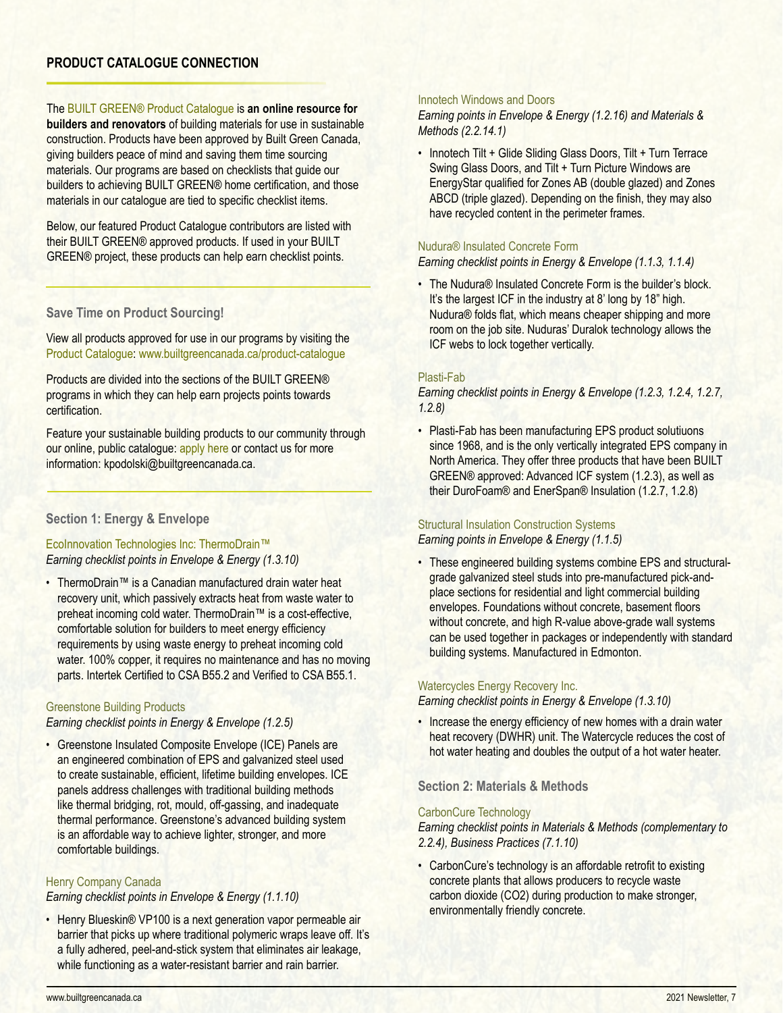## **PRODUCT CATALOGUE CONNECTION**

The [BUILT GREEN® Product Catalogue](https://builtgreencanada.ca/product-catalogue) is **an online resource for builders and renovators** of building materials for use in sustainable construction. Products have been approved by Built Green Canada, giving builders peace of mind and saving them time sourcing materials. Our programs are based on checklists that guide our builders to achieving BUILT GREEN® home certification, and those materials in our catalogue are tied to specific checklist items.

Below, our featured Product Catalogue contributors are listed with their BUILT GREEN® approved products. If used in your BUILT GREEN® project, these products can help earn checklist points.

## **Save Time on Product Sourcing!**

View all products approved for use in our programs by visiting the Product Catalogue: www.builtgreencanada.ca/product-catalogue

Products are divided into the sections of the BUILT GREEN® programs in which they can help earn projects points towards certification.

Feature your sustainable building products to our community through our online, public catalogue: [apply here](https://builtgreencanada.ca/apply-for-a-product-catalogue-listing) or contact us for more information: kpodolski@builtgreencanada.ca.

## **Section 1: Energy & Envelope**

[EcoInnovation Technologies Inc: ThermoDrain™](https://builtgreencanada.ca/ecoinnovation-technologies-inc) *Earning checklist points in Envelope & Energy (1.3.10)*

• ThermoDrain™ is a Canadian manufactured drain water heat recovery unit, which passively extracts heat from waste water to preheat incoming cold water. ThermoDrain™ is a cost-effective, comfortable solution for builders to meet energy efficiency requirements by using waste energy to preheat incoming cold water. 100% copper, it requires no maintenance and has no moving parts. Intertek Certified to CSA B55.2 and Verified to CSA B55.1.

## [Greenstone](https://builtgreencanada.ca/greenstone-building-products) Building Products

*Earning checklist points in Energy & Envelope (1.2.5)*

• Greenstone Insulated Composite Envelope (ICE) Panels are an engineered combination of EPS and galvanized steel used to create sustainable, efficient, lifetime building envelopes. ICE panels address challenges with traditional building methods like thermal bridging, rot, mould, off-gassing, and inadequate thermal performance. Greenstone's advanced building system is an affordable way to achieve lighter, stronger, and more comfortable buildings.

## [Henry Company Canada](https://builtgreencanada.ca/henry-blueskin-vp100)

*Earning checklist points in Envelope & Energy (1.1.10)*

• Henry Blueskin® VP100 is a next generation vapor permeable air barrier that picks up where traditional polymeric wraps leave off. It's a fully adhered, peel-and-stick system that eliminates air leakage, while functioning as a water-resistant barrier and rain barrier.

#### [Innotech Windows and Doors](https://builtgreencanada.ca/innotech-windows-and-doors)

*Earning points in Envelope & Energy (1.2.16) and Materials & Methods (2.2.14.1)*

• Innotech Tilt + Glide Sliding Glass Doors, Tilt + Turn Terrace Swing Glass Doors, and Tilt + Turn Picture Windows are EnergyStar qualified for Zones AB (double glazed) and Zones ABCD (triple glazed). Depending on the finish, they may also have recycled content in the perimeter frames.

## [Nudura® Insulated Concrete Form](https://builtgreencanada.ca/nudura-insulated-concrete-form)

*Earning checklist points in Energy & Envelope (1.1.3, 1.1.4)*

• The Nudura® Insulated Concrete Form is the builder's block. It's the largest ICF in the industry at 8' long by 18" high. Nudura® folds flat, which means cheaper shipping and more room on the job site. Nuduras' Duralok technology allows the ICF webs to lock together vertically.

## [Plasti-Fab](https://builtgreencanada.ca/plasti-fab-advantage-icf-system)

*Earning checklist points in Energy & Envelope (1.2.3, 1.2.4, 1.2.7, 1.2.8)*

• Plasti-Fab has been manufacturing EPS product solutiuons since 1968, and is the only vertically integrated EPS company in North America. They offer three products that have been BUILT GREEN® approved: Advanced ICF system (1.2.3), as well as their DuroFoam® and EnerSpan® Insulation (1.2.7, 1.2.8)

#### [Structural Insulation Construction Systems](https://www.builtgreencanada.ca/structural-insulation-construction-systems)

*Earning points in Envelope & Energy (1.1.5)*

• These engineered building systems combine EPS and structuralgrade galvanized steel studs into pre-manufactured pick-andplace sections for residential and light commercial building envelopes. Foundations without concrete, basement floors without concrete, and high R-value above-grade wall systems can be used together in packages or independently with standard building systems. Manufactured in Edmonton.

#### [Watercycles Energy Recovery Inc.](https://builtgreencanada.ca/watercycles-energy-recovery-inc)

*Earning checklist points in Energy & Envelope (1.3.10)*

• Increase the energy efficiency of new homes with a drain water heat recovery (DWHR) unit. The Watercycle reduces the cost of hot water heating and doubles the output of a hot water heater.

## **Section 2: Materials & Methods**

#### [CarbonCure Technology](https://builtgreencanada.ca/carboncure-technologies-inc)

*Earning checklist points in Materials & Methods (complementary to 2.2.4), Business Practices (7.1.10)*

• CarbonCure's technology is an affordable retrofit to existing concrete plants that allows producers to recycle waste carbon dioxide (CO2) during production to make stronger, environmentally friendly concrete.